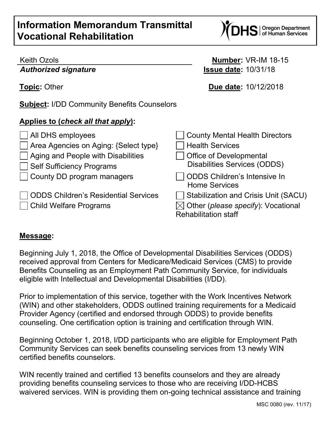## **Information Memorandum Transmittal Vocational Rehabilitation**

## Keith Ozols **Number:** VR-IM 18-15

*Authorized signature* **Issue date:** 10/31/18

**Topic:** Other **Due date:** 10/12/2018

**Subject:** I/DD Community Benefits Counselors

## **Applies to (***check all that apply***):**

| All DHS employees                           | County Mental Health Directors                                                |
|---------------------------------------------|-------------------------------------------------------------------------------|
| Area Agencies on Aging: {Select type}       | <b>Health Services</b>                                                        |
| $\Box$ Aging and People with Disabilities   | <b>Office of Developmental</b>                                                |
| Self Sufficiency Programs                   | <b>Disabilities Services (ODDS)</b>                                           |
| □ County DD program managers                | ODDS Children's Intensive In<br><b>Home Services</b>                          |
| <b>ODDS Children's Residential Services</b> | Stabilization and Crisis Unit (SACU)                                          |
| □ Child Welfare Programs                    | $\boxtimes$ Other (please specify): Vocational<br><b>Rehabilitation staff</b> |

## **Message:**

Beginning July 1, 2018, the Office of Developmental Disabilities Services (ODDS) received approval from Centers for Medicare/Medicaid Services (CMS) to provide Benefits Counseling as an Employment Path Community Service, for individuals eligible with Intellectual and Developmental Disabilities (I/DD).

Prior to implementation of this service, together with the Work Incentives Network (WIN) and other stakeholders, ODDS outlined training requirements for a Medicaid Provider Agency (certified and endorsed through ODDS) to provide benefits counseling. One certification option is training and certification through WIN.

Beginning October 1, 2018, I/DD participants who are eligible for Employment Path Community Services can seek benefits counseling services from 13 newly WIN certified benefits counselors.

WIN recently trained and certified 13 benefits counselors and they are already providing benefits counseling services to those who are receiving I/DD-HCBS waivered services. WIN is providing them on-going technical assistance and training

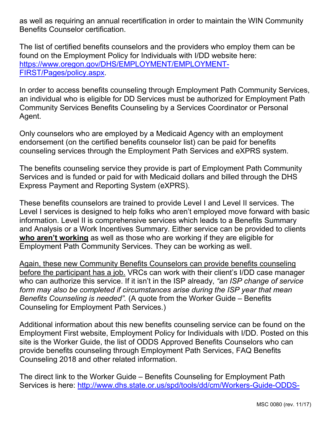as well as requiring an annual recertification in order to maintain the WIN Community Benefits Counselor certification.

The list of certified benefits counselors and the providers who employ them can be found on the Employment Policy for Individuals with I/DD website here: [https://www.oregon.gov/DHS/EMPLOYMENT/EMPLOYMENT-](https://www.oregon.gov/DHS/EMPLOYMENT/EMPLOYMENT-FIRST/Pages/policy.aspx)[FIRST/Pages/policy.aspx.](https://www.oregon.gov/DHS/EMPLOYMENT/EMPLOYMENT-FIRST/Pages/policy.aspx)

In order to access benefits counseling through Employment Path Community Services, an individual who is eligible for DD Services must be authorized for Employment Path Community Services Benefits Counseling by a Services Coordinator or Personal Agent.

Only counselors who are employed by a Medicaid Agency with an employment endorsement (on the certified benefits counselor list) can be paid for benefits counseling services through the Employment Path Services and eXPRS system.

The benefits counseling service they provide is part of Employment Path Community Services and is funded or paid for with Medicaid dollars and billed through the DHS Express Payment and Reporting System (eXPRS).

These benefits counselors are trained to provide Level I and Level II services. The Level I services is designed to help folks who aren't employed move forward with basic information. Level II is comprehensive services which leads to a Benefits Summary and Analysis or a Work Incentives Summary. Either service can be provided to clients **who aren't working** as well as those who are working if they are eligible for Employment Path Community Services. They can be working as well.

Again, these new Community Benefits Counselors can provide benefits counseling before the participant has a job. VRCs can work with their client's I/DD case manager who can authorize this service. If it isn't in the ISP already, *"an ISP change of service*  form may also be completed if circumstances arise during the ISP year that mean *Benefits Counseling is needed".* (A quote from the Worker Guide – Benefits Counseling for Employment Path Services.)

Additional information about this new benefits counseling service can be found on the Employment First website, Employment Policy for Individuals with I/DD. Posted on this site is the Worker Guide, the list of ODDS Approved Benefits Counselors who can provide benefits counseling through Employment Path Services, FAQ Benefits Counseling 2018 and other related information.

The direct link to the Worker Guide – Benefits Counseling for Employment Path Services is here: [http://www.dhs.state.or.us/spd/tools/dd/cm/Workers-Guide-ODDS-](http://www.dhs.state.or.us/spd/tools/dd/cm/Workers-Guide-ODDS-Benefits-Counseling.pdf)